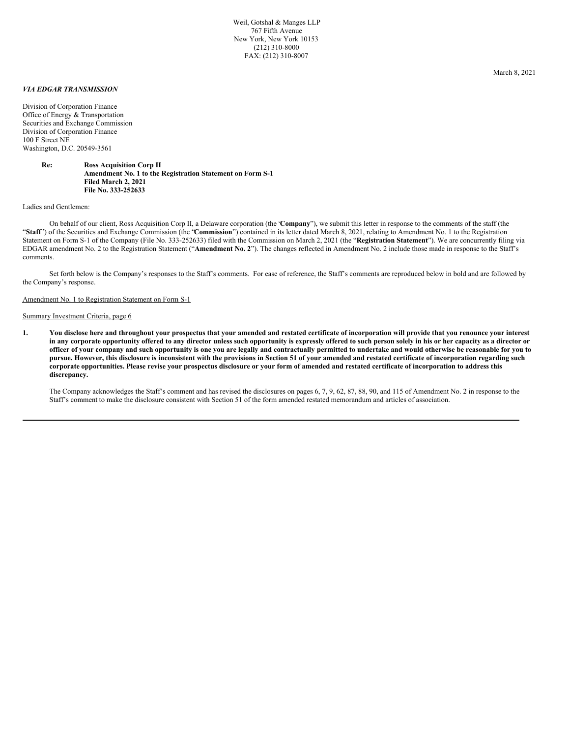Weil, Gotshal & Manges LLP 767 Fifth Avenue New York, New York 10153 (212) 310-8000 FAX: (212) 310-8007

## *VIA EDGAR TRANSMISSION*

Division of Corporation Finance Office of Energy & Transportation Securities and Exchange Commission Division of Corporation Finance 100 F Street NE Washington, D.C. 20549-3561

> **Re: Ross Acquisition Corp II Amendment No. 1 to the Registration Statement on Form S-1 Filed March 2, 2021 File No. 333-252633**

### Ladies and Gentlemen:

On behalf of our client, Ross Acquisition Corp II, a Delaware corporation (the "**Company**"), we submit this letter in response to the comments of the staff (the "**Staff**") of the Securities and Exchange Commission (the "**Commission**") contained in its letter dated March 8, 2021, relating to Amendment No. 1 to the Registration Statement on Form S-1 of the Company (File No. 333-252633) filed with the Commission on March 2, 2021 (the "**Registration Statement**"). We are concurrently filing via EDGAR amendment No. 2 to the Registration Statement ("**Amendment No. 2**"). The changes reflected in Amendment No. 2 include those made in response to the Staff's comments.

Set forth below is the Company's responses to the Staff's comments. For ease of reference, the Staff's comments are reproduced below in bold and are followed by the Company's response.

#### Amendment No. 1 to Registration Statement on Form S-1

#### Summary Investment Criteria, page 6

1. You disclose here and throughout your prospectus that your amended and restated certificate of incorporation will provide that you renounce your interest in any corporate opportunity offered to any director unless such opportunity is expressly offered to such person solely in his or her capacity as a director or officer of your company and such opportunity is one you are legally and contractually permitted to undertake and would otherwise be reasonable for you to pursue. However, this disclosure is inconsistent with the provisions in Section 51 of your amended and restated certificate of incorporation regarding such corporate opportunities. Please revise your prospectus disclosure or your form of amended and restated certificate of incorporation to address this **discrepancy.**

The Company acknowledges the Staff's comment and has revised the disclosures on pages 6, 7, 9, 62, 87, 88, 90, and 115 of Amendment No. 2 in response to the Staff's comment to make the disclosure consistent with Section 51 of the form amended restated memorandum and articles of association.

March 8, 2021